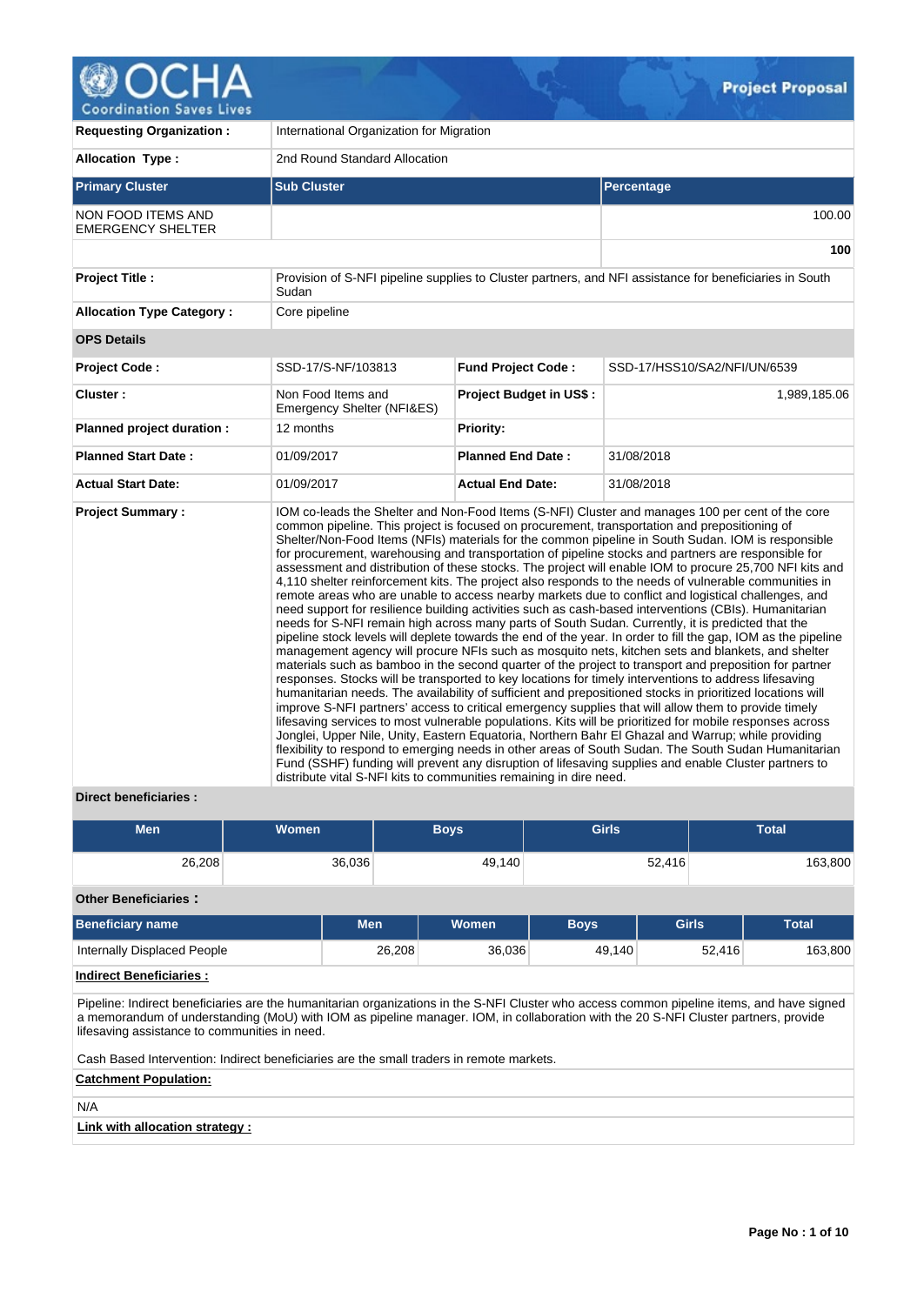

| <b>Requesting Organization:</b>                | International Organization for Migration                           |                                |                                                                                                                                                                                                                                                                                                                                                                                                                                                                                                                                                                                                                                                                                                                                                                                                                                                                                                                                                                                                                                                                                                                                                                                                                                                                                                                                                                                                                                                                                                                                                                                                                                                                                                                                                                                                                                                                                                                                                                                                                                                          |  |  |  |  |
|------------------------------------------------|--------------------------------------------------------------------|--------------------------------|----------------------------------------------------------------------------------------------------------------------------------------------------------------------------------------------------------------------------------------------------------------------------------------------------------------------------------------------------------------------------------------------------------------------------------------------------------------------------------------------------------------------------------------------------------------------------------------------------------------------------------------------------------------------------------------------------------------------------------------------------------------------------------------------------------------------------------------------------------------------------------------------------------------------------------------------------------------------------------------------------------------------------------------------------------------------------------------------------------------------------------------------------------------------------------------------------------------------------------------------------------------------------------------------------------------------------------------------------------------------------------------------------------------------------------------------------------------------------------------------------------------------------------------------------------------------------------------------------------------------------------------------------------------------------------------------------------------------------------------------------------------------------------------------------------------------------------------------------------------------------------------------------------------------------------------------------------------------------------------------------------------------------------------------------------|--|--|--|--|
| <b>Allocation Type:</b>                        | 2nd Round Standard Allocation                                      |                                |                                                                                                                                                                                                                                                                                                                                                                                                                                                                                                                                                                                                                                                                                                                                                                                                                                                                                                                                                                                                                                                                                                                                                                                                                                                                                                                                                                                                                                                                                                                                                                                                                                                                                                                                                                                                                                                                                                                                                                                                                                                          |  |  |  |  |
| <b>Primary Cluster</b>                         | <b>Sub Cluster</b>                                                 |                                | Percentage                                                                                                                                                                                                                                                                                                                                                                                                                                                                                                                                                                                                                                                                                                                                                                                                                                                                                                                                                                                                                                                                                                                                                                                                                                                                                                                                                                                                                                                                                                                                                                                                                                                                                                                                                                                                                                                                                                                                                                                                                                               |  |  |  |  |
| NON FOOD ITEMS AND<br><b>EMERGENCY SHELTER</b> |                                                                    |                                | 100.00                                                                                                                                                                                                                                                                                                                                                                                                                                                                                                                                                                                                                                                                                                                                                                                                                                                                                                                                                                                                                                                                                                                                                                                                                                                                                                                                                                                                                                                                                                                                                                                                                                                                                                                                                                                                                                                                                                                                                                                                                                                   |  |  |  |  |
|                                                |                                                                    |                                | 100                                                                                                                                                                                                                                                                                                                                                                                                                                                                                                                                                                                                                                                                                                                                                                                                                                                                                                                                                                                                                                                                                                                                                                                                                                                                                                                                                                                                                                                                                                                                                                                                                                                                                                                                                                                                                                                                                                                                                                                                                                                      |  |  |  |  |
| <b>Project Title:</b>                          | Sudan                                                              |                                | Provision of S-NFI pipeline supplies to Cluster partners, and NFI assistance for beneficiaries in South                                                                                                                                                                                                                                                                                                                                                                                                                                                                                                                                                                                                                                                                                                                                                                                                                                                                                                                                                                                                                                                                                                                                                                                                                                                                                                                                                                                                                                                                                                                                                                                                                                                                                                                                                                                                                                                                                                                                                  |  |  |  |  |
| <b>Allocation Type Category:</b>               | Core pipeline                                                      |                                |                                                                                                                                                                                                                                                                                                                                                                                                                                                                                                                                                                                                                                                                                                                                                                                                                                                                                                                                                                                                                                                                                                                                                                                                                                                                                                                                                                                                                                                                                                                                                                                                                                                                                                                                                                                                                                                                                                                                                                                                                                                          |  |  |  |  |
| <b>OPS Details</b>                             |                                                                    |                                |                                                                                                                                                                                                                                                                                                                                                                                                                                                                                                                                                                                                                                                                                                                                                                                                                                                                                                                                                                                                                                                                                                                                                                                                                                                                                                                                                                                                                                                                                                                                                                                                                                                                                                                                                                                                                                                                                                                                                                                                                                                          |  |  |  |  |
| <b>Project Code:</b>                           | SSD-17/S-NF/103813                                                 | <b>Fund Project Code:</b>      | SSD-17/HSS10/SA2/NFI/UN/6539                                                                                                                                                                                                                                                                                                                                                                                                                                                                                                                                                                                                                                                                                                                                                                                                                                                                                                                                                                                                                                                                                                                                                                                                                                                                                                                                                                                                                                                                                                                                                                                                                                                                                                                                                                                                                                                                                                                                                                                                                             |  |  |  |  |
| Cluster:                                       | Non Food Items and<br>Emergency Shelter (NFI&ES)                   | <b>Project Budget in US\$:</b> | 1,989,185.06                                                                                                                                                                                                                                                                                                                                                                                                                                                                                                                                                                                                                                                                                                                                                                                                                                                                                                                                                                                                                                                                                                                                                                                                                                                                                                                                                                                                                                                                                                                                                                                                                                                                                                                                                                                                                                                                                                                                                                                                                                             |  |  |  |  |
| Planned project duration :                     | 12 months                                                          | <b>Priority:</b>               |                                                                                                                                                                                                                                                                                                                                                                                                                                                                                                                                                                                                                                                                                                                                                                                                                                                                                                                                                                                                                                                                                                                                                                                                                                                                                                                                                                                                                                                                                                                                                                                                                                                                                                                                                                                                                                                                                                                                                                                                                                                          |  |  |  |  |
| <b>Planned Start Date:</b>                     | 01/09/2017                                                         | <b>Planned End Date:</b>       | 31/08/2018                                                                                                                                                                                                                                                                                                                                                                                                                                                                                                                                                                                                                                                                                                                                                                                                                                                                                                                                                                                                                                                                                                                                                                                                                                                                                                                                                                                                                                                                                                                                                                                                                                                                                                                                                                                                                                                                                                                                                                                                                                               |  |  |  |  |
| <b>Actual Start Date:</b>                      | 01/09/2017                                                         | <b>Actual End Date:</b>        | 31/08/2018                                                                                                                                                                                                                                                                                                                                                                                                                                                                                                                                                                                                                                                                                                                                                                                                                                                                                                                                                                                                                                                                                                                                                                                                                                                                                                                                                                                                                                                                                                                                                                                                                                                                                                                                                                                                                                                                                                                                                                                                                                               |  |  |  |  |
| <b>Project Summary:</b>                        | distribute vital S-NFI kits to communities remaining in dire need. |                                | IOM co-leads the Shelter and Non-Food Items (S-NFI) Cluster and manages 100 per cent of the core<br>common pipeline. This project is focused on procurement, transportation and prepositioning of<br>Shelter/Non-Food Items (NFIs) materials for the common pipeline in South Sudan. IOM is responsible<br>for procurement, warehousing and transportation of pipeline stocks and partners are responsible for<br>assessment and distribution of these stocks. The project will enable IOM to procure 25,700 NFI kits and<br>4,110 shelter reinforcement kits. The project also responds to the needs of vulnerable communities in<br>remote areas who are unable to access nearby markets due to conflict and logistical challenges, and<br>need support for resilience building activities such as cash-based interventions (CBIs). Humanitarian<br>needs for S-NFI remain high across many parts of South Sudan. Currently, it is predicted that the<br>pipeline stock levels will deplete towards the end of the year. In order to fill the gap, IOM as the pipeline<br>management agency will procure NFIs such as mosquito nets, kitchen sets and blankets, and shelter<br>materials such as bamboo in the second quarter of the project to transport and preposition for partner<br>responses. Stocks will be transported to key locations for timely interventions to address lifesaving<br>humanitarian needs. The availability of sufficient and prepositioned stocks in prioritized locations will<br>improve S-NFI partners' access to critical emergency supplies that will allow them to provide timely<br>lifesaving services to most vulnerable populations. Kits will be prioritized for mobile responses across<br>Jonglei, Upper Nile, Unity, Eastern Equatoria, Northern Bahr El Ghazal and Warrup; while providing<br>flexibility to respond to emerging needs in other areas of South Sudan. The South Sudan Humanitarian<br>Fund (SSHF) funding will prevent any disruption of lifesaving supplies and enable Cluster partners to |  |  |  |  |

# **Direct beneficiaries :**

| <b>Men</b> | <b>Women</b> | <b>Boys</b> | <b>Girls</b> | Total   |
|------------|--------------|-------------|--------------|---------|
| 26,208     | 36,036       | 49,140      | 52,416       | 163,800 |

## **Other Beneficiaries :**

| <b>Beneficiary name</b>     | Men    | <b>Women</b> | <b>Bovs</b> | <b>Girls</b> | <b>Total</b> |
|-----------------------------|--------|--------------|-------------|--------------|--------------|
| Internally Displaced People | 26.208 | 36,036       | 49,140      | 52,416       | 163,800      |

# **Indirect Beneficiaries :**

Pipeline: Indirect beneficiaries are the humanitarian organizations in the S-NFI Cluster who access common pipeline items, and have signed a memorandum of understanding (MoU) with IOM as pipeline manager. IOM, in collaboration with the 20 S-NFI Cluster partners, provide lifesaving assistance to communities in need.

Cash Based Intervention: Indirect beneficiaries are the small traders in remote markets.

# **Catchment Population:**

N/A

# **Link with allocation strategy :**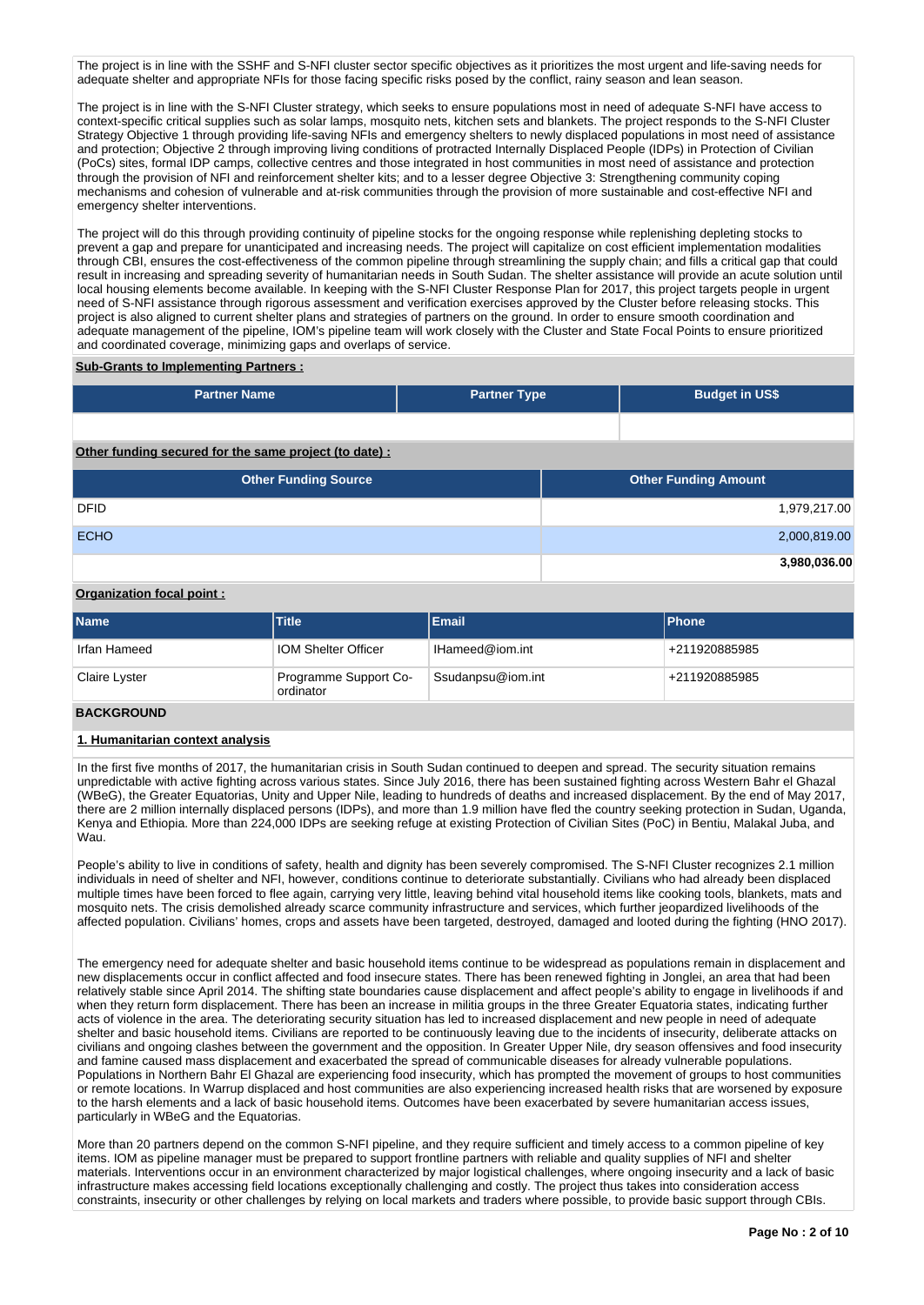The project is in line with the SSHF and S-NFI cluster sector specific objectives as it prioritizes the most urgent and life-saving needs for adequate shelter and appropriate NFIs for those facing specific risks posed by the conflict, rainy season and lean season.

The project is in line with the S-NFI Cluster strategy, which seeks to ensure populations most in need of adequate S-NFI have access to context-specific critical supplies such as solar lamps, mosquito nets, kitchen sets and blankets. The project responds to the S-NFI Cluster Strategy Objective 1 through providing life-saving NFIs and emergency shelters to newly displaced populations in most need of assistance and protection; Objective 2 through improving living conditions of protracted Internally Displaced People (IDPs) in Protection of Civilian (PoCs) sites, formal IDP camps, collective centres and those integrated in host communities in most need of assistance and protection through the provision of NFI and reinforcement shelter kits; and to a lesser degree Objective 3: Strengthening community coping mechanisms and cohesion of vulnerable and at-risk communities through the provision of more sustainable and cost-effective NFI and emergency shelter interventions.

The project will do this through providing continuity of pipeline stocks for the ongoing response while replenishing depleting stocks to prevent a gap and prepare for unanticipated and increasing needs. The project will capitalize on cost efficient implementation modalities through CBI, ensures the cost-effectiveness of the common pipeline through streamlining the supply chain; and fills a critical gap that could result in increasing and spreading severity of humanitarian needs in South Sudan. The shelter assistance will provide an acute solution until local housing elements become available. In keeping with the S-NFI Cluster Response Plan for 2017, this project targets people in urgent need of S-NFI assistance through rigorous assessment and verification exercises approved by the Cluster before releasing stocks. This project is also aligned to current shelter plans and strategies of partners on the ground. In order to ensure smooth coordination and adequate management of the pipeline, IOM's pipeline team will work closely with the Cluster and State Focal Points to ensure prioritized and coordinated coverage, minimizing gaps and overlaps of service.

# **Sub-Grants to Implementing Partners :**

| <b>Partner Name</b>                                   | <b>Partner Type</b> | <b>Budget in US\$</b>       |              |
|-------------------------------------------------------|---------------------|-----------------------------|--------------|
|                                                       |                     |                             |              |
| Other funding secured for the same project (to date): |                     |                             |              |
| <b>Other Funding Source</b>                           |                     | <b>Other Funding Amount</b> |              |
| <b>DFID</b>                                           |                     |                             | 1,979,217.00 |
| <b>ECHO</b>                                           |                     |                             | 2,000,819.00 |
|                                                       |                     |                             | 3,980,036.00 |

## **Organization focal point :**

| <b>Name</b>   | <b>Title</b>                       | Email           | <b>IPhone</b>   |
|---------------|------------------------------------|-----------------|-----------------|
| Irfan Hameed  | <b>IOM Shelter Officer</b>         | IHameed@iom.int | +211920885985   |
| Claire Lyster | Programme Support Co-<br>ordinator |                 | $+211920885985$ |

# **BACKGROUND**

# **1. Humanitarian context analysis**

In the first five months of 2017, the humanitarian crisis in South Sudan continued to deepen and spread. The security situation remains unpredictable with active fighting across various states. Since July 2016, there has been sustained fighting across Western Bahr el Ghazal (WBeG), the Greater Equatorias, Unity and Upper Nile, leading to hundreds of deaths and increased displacement. By the end of May 2017, there are 2 million internally displaced persons (IDPs), and more than 1.9 million have fled the country seeking protection in Sudan, Uganda, Kenya and Ethiopia. More than 224,000 IDPs are seeking refuge at existing Protection of Civilian Sites (PoC) in Bentiu, Malakal Juba, and Wau.

People's ability to live in conditions of safety, health and dignity has been severely compromised. The S-NFI Cluster recognizes 2.1 million individuals in need of shelter and NFI, however, conditions continue to deteriorate substantially. Civilians who had already been displaced multiple times have been forced to flee again, carrying very little, leaving behind vital household items like cooking tools, blankets, mats and mosquito nets. The crisis demolished already scarce community infrastructure and services, which further jeopardized livelihoods of the affected population. Civilians' homes, crops and assets have been targeted, destroyed, damaged and looted during the fighting (HNO 2017).

The emergency need for adequate shelter and basic household items continue to be widespread as populations remain in displacement and new displacements occur in conflict affected and food insecure states. There has been renewed fighting in Jonglei, an area that had been relatively stable since April 2014. The shifting state boundaries cause displacement and affect people's ability to engage in livelihoods if and when they return form displacement. There has been an increase in militia groups in the three Greater Equatoria states, indicating further acts of violence in the area. The deteriorating security situation has led to increased displacement and new people in need of adequate shelter and basic household items. Civilians are reported to be continuously leaving due to the incidents of insecurity, deliberate attacks on civilians and ongoing clashes between the government and the opposition. In Greater Upper Nile, dry season offensives and food insecurity and famine caused mass displacement and exacerbated the spread of communicable diseases for already vulnerable populations. Populations in Northern Bahr El Ghazal are experiencing food insecurity, which has prompted the movement of groups to host communities or remote locations. In Warrup displaced and host communities are also experiencing increased health risks that are worsened by exposure to the harsh elements and a lack of basic household items. Outcomes have been exacerbated by severe humanitarian access issues, particularly in WBeG and the Equatorias.

More than 20 partners depend on the common S-NFI pipeline, and they require sufficient and timely access to a common pipeline of key items. IOM as pipeline manager must be prepared to support frontline partners with reliable and quality supplies of NFI and shelter materials. Interventions occur in an environment characterized by major logistical challenges, where ongoing insecurity and a lack of basic infrastructure makes accessing field locations exceptionally challenging and costly. The project thus takes into consideration access constraints, insecurity or other challenges by relying on local markets and traders where possible, to provide basic support through CBIs.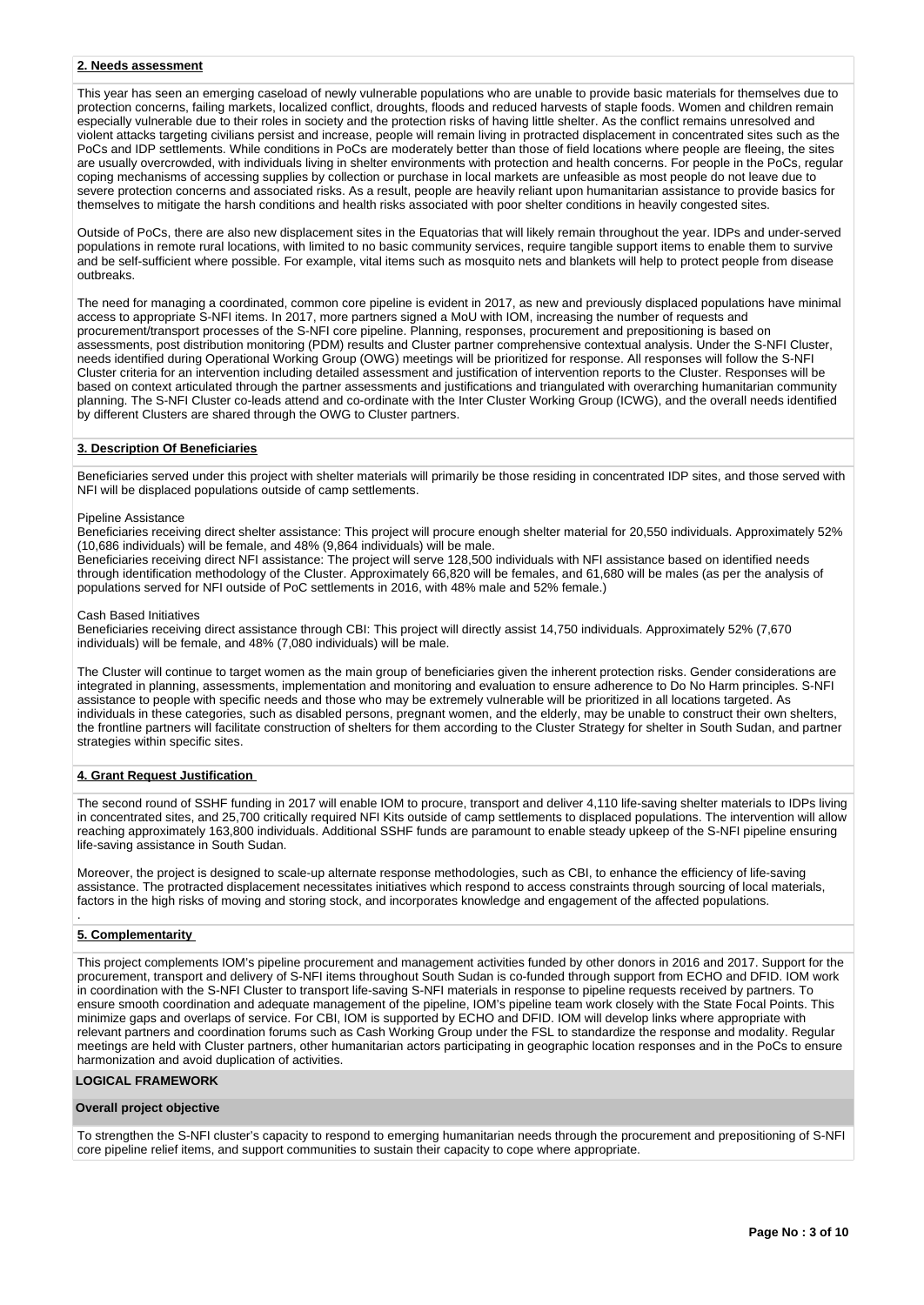#### **2. Needs assessment**

This year has seen an emerging caseload of newly vulnerable populations who are unable to provide basic materials for themselves due to protection concerns, failing markets, localized conflict, droughts, floods and reduced harvests of staple foods. Women and children remain especially vulnerable due to their roles in society and the protection risks of having little shelter. As the conflict remains unresolved and violent attacks targeting civilians persist and increase, people will remain living in protracted displacement in concentrated sites such as the PoCs and IDP settlements. While conditions in PoCs are moderately better than those of field locations where people are fleeing, the sites are usually overcrowded, with individuals living in shelter environments with protection and health concerns. For people in the PoCs, regular coping mechanisms of accessing supplies by collection or purchase in local markets are unfeasible as most people do not leave due to severe protection concerns and associated risks. As a result, people are heavily reliant upon humanitarian assistance to provide basics for themselves to mitigate the harsh conditions and health risks associated with poor shelter conditions in heavily congested sites.

Outside of PoCs, there are also new displacement sites in the Equatorias that will likely remain throughout the year. IDPs and under-served populations in remote rural locations, with limited to no basic community services, require tangible support items to enable them to survive and be self-sufficient where possible. For example, vital items such as mosquito nets and blankets will help to protect people from disease outbreaks.

The need for managing a coordinated, common core pipeline is evident in 2017, as new and previously displaced populations have minimal access to appropriate S-NFI items. In 2017, more partners signed a MoU with IOM, increasing the number of requests and procurement/transport processes of the S-NFI core pipeline. Planning, responses, procurement and prepositioning is based on assessments, post distribution monitoring (PDM) results and Cluster partner comprehensive contextual analysis. Under the S-NFI Cluster, needs identified during Operational Working Group (OWG) meetings will be prioritized for response. All responses will follow the S-NFI Cluster criteria for an intervention including detailed assessment and justification of intervention reports to the Cluster. Responses will be based on context articulated through the partner assessments and justifications and triangulated with overarching humanitarian community planning. The S-NFI Cluster co-leads attend and co-ordinate with the Inter Cluster Working Group (ICWG), and the overall needs identified by different Clusters are shared through the OWG to Cluster partners.

#### **3. Description Of Beneficiaries**

Beneficiaries served under this project with shelter materials will primarily be those residing in concentrated IDP sites, and those served with NFI will be displaced populations outside of camp settlements.

#### Pipeline Assistance

Beneficiaries receiving direct shelter assistance: This project will procure enough shelter material for 20,550 individuals. Approximately 52% (10,686 individuals) will be female, and 48% (9,864 individuals) will be male.

Beneficiaries receiving direct NFI assistance: The project will serve 128,500 individuals with NFI assistance based on identified needs through identification methodology of the Cluster. Approximately 66,820 will be females, and 61,680 will be males (as per the analysis of populations served for NFI outside of PoC settlements in 2016, with 48% male and 52% female.)

#### Cash Based Initiatives

Beneficiaries receiving direct assistance through CBI: This project will directly assist 14,750 individuals. Approximately 52% (7,670 individuals) will be female, and 48% (7,080 individuals) will be male.

The Cluster will continue to target women as the main group of beneficiaries given the inherent protection risks. Gender considerations are integrated in planning, assessments, implementation and monitoring and evaluation to ensure adherence to Do No Harm principles. S-NFI assistance to people with specific needs and those who may be extremely vulnerable will be prioritized in all locations targeted. As individuals in these categories, such as disabled persons, pregnant women, and the elderly, may be unable to construct their own shelters, the frontline partners will facilitate construction of shelters for them according to the Cluster Strategy for shelter in South Sudan, and partner strategies within specific sites.

## **4. Grant Request Justification**

The second round of SSHF funding in 2017 will enable IOM to procure, transport and deliver 4,110 life-saving shelter materials to IDPs living in concentrated sites, and 25,700 critically required NFI Kits outside of camp settlements to displaced populations. The intervention will allow reaching approximately 163,800 individuals. Additional SSHF funds are paramount to enable steady upkeep of the S-NFI pipeline ensuring life-saving assistance in South Sudan.

Moreover, the project is designed to scale-up alternate response methodologies, such as CBI, to enhance the efficiency of life-saving assistance. The protracted displacement necessitates initiatives which respond to access constraints through sourcing of local materials, factors in the high risks of moving and storing stock, and incorporates knowledge and engagement of the affected populations.

#### **5. Complementarity**

.

This project complements IOM's pipeline procurement and management activities funded by other donors in 2016 and 2017. Support for the procurement, transport and delivery of S-NFI items throughout South Sudan is co-funded through support from ECHO and DFID. IOM work in coordination with the S-NFI Cluster to transport life-saving S-NFI materials in response to pipeline requests received by partners. To ensure smooth coordination and adequate management of the pipeline, IOM's pipeline team work closely with the State Focal Points. This minimize gaps and overlaps of service. For CBI, IOM is supported by ECHO and DFID. IOM will develop links where appropriate with relevant partners and coordination forums such as Cash Working Group under the FSL to standardize the response and modality. Regular meetings are held with Cluster partners, other humanitarian actors participating in geographic location responses and in the PoCs to ensure harmonization and avoid duplication of activities.

### **LOGICAL FRAMEWORK**

#### **Overall project objective**

To strengthen the S-NFI cluster's capacity to respond to emerging humanitarian needs through the procurement and prepositioning of S-NFI core pipeline relief items, and support communities to sustain their capacity to cope where appropriate.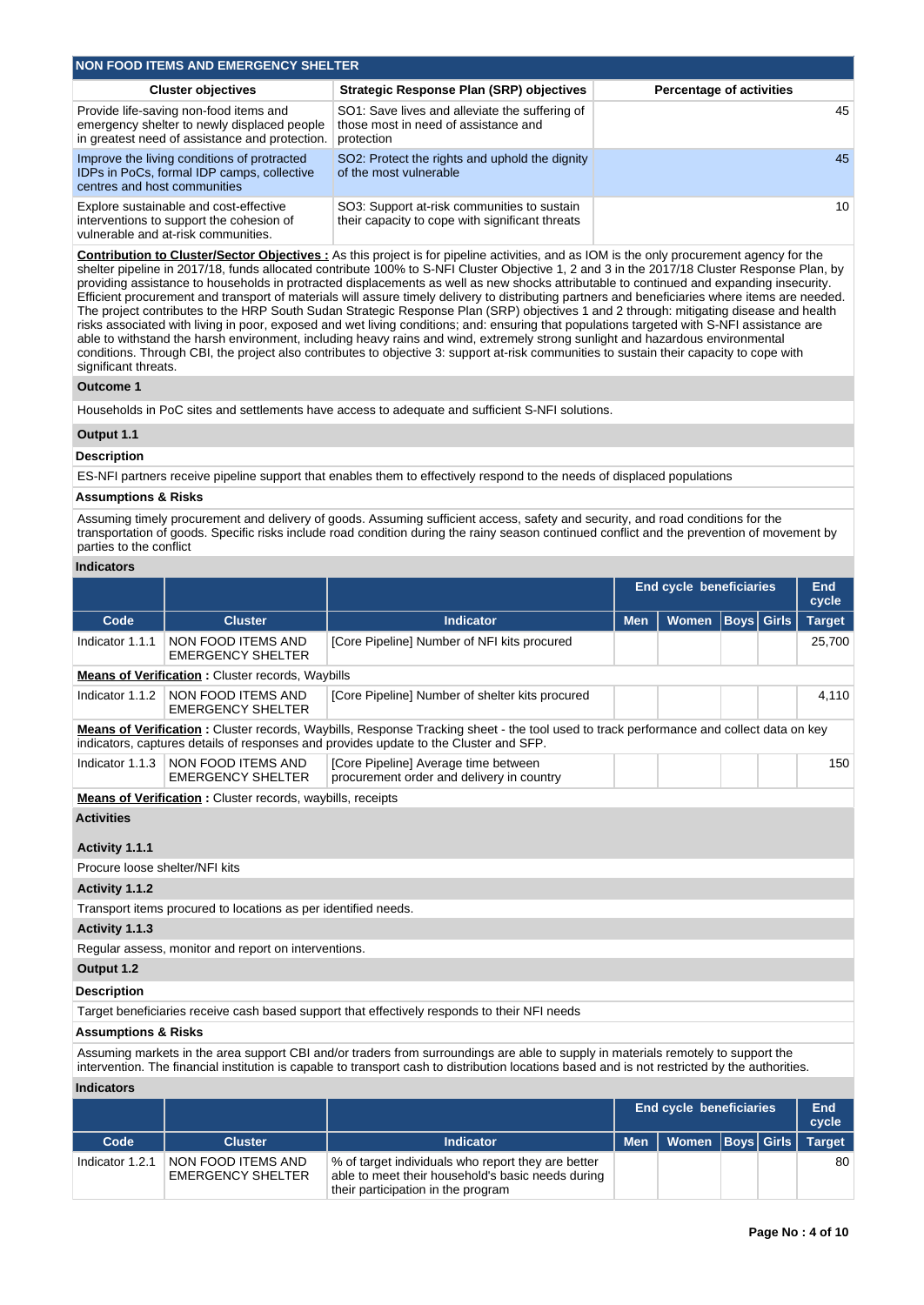| NON FOOD ITEMS AND EMERGENCY SHELTER                                                                                                    |                                                                                                      |                                 |  |  |  |  |  |  |  |
|-----------------------------------------------------------------------------------------------------------------------------------------|------------------------------------------------------------------------------------------------------|---------------------------------|--|--|--|--|--|--|--|
| <b>Cluster objectives</b>                                                                                                               | <b>Strategic Response Plan (SRP) objectives</b>                                                      | <b>Percentage of activities</b> |  |  |  |  |  |  |  |
| Provide life-saving non-food items and<br>emergency shelter to newly displaced people<br>in greatest need of assistance and protection. | SO1: Save lives and alleviate the suffering of<br>those most in need of assistance and<br>protection | 45                              |  |  |  |  |  |  |  |
| Improve the living conditions of protracted<br>IDPs in PoCs, formal IDP camps, collective<br>centres and host communities               | SO2: Protect the rights and uphold the dignity<br>of the most vulnerable                             | 45                              |  |  |  |  |  |  |  |
| Explore sustainable and cost-effective<br>interventions to support the cohesion of<br>vulnerable and at-risk communities.               | SO3: Support at-risk communities to sustain<br>their capacity to cope with significant threats       | 10                              |  |  |  |  |  |  |  |

**Contribution to Cluster/Sector Objectives :** As this project is for pipeline activities, and as IOM is the only procurement agency for the shelter pipeline in 2017/18, funds allocated contribute 100% to S-NFI Cluster Objective 1, 2 and 3 in the 2017/18 Cluster Response Plan, by providing assistance to households in protracted displacements as well as new shocks attributable to continued and expanding insecurity. Efficient procurement and transport of materials will assure timely delivery to distributing partners and beneficiaries where items are needed. The project contributes to the HRP South Sudan Strategic Response Plan (SRP) objectives 1 and 2 through: mitigating disease and health risks associated with living in poor, exposed and wet living conditions; and: ensuring that populations targeted with S-NFI assistance are able to withstand the harsh environment, including heavy rains and wind, extremely strong sunlight and hazardous environmental conditions. Through CBI, the project also contributes to objective 3: support at-risk communities to sustain their capacity to cope with significant threats.

#### **Outcome 1**

Households in PoC sites and settlements have access to adequate and sufficient S-NFI solutions.

# **Output 1.1**

#### **Description**

ES-NFI partners receive pipeline support that enables them to effectively respond to the needs of displaced populations

## **Assumptions & Risks**

Assuming timely procurement and delivery of goods. Assuming sufficient access, safety and security, and road conditions for the transportation of goods. Specific risks include road condition during the rainy season continued conflict and the prevention of movement by parties to the conflict

# **Indicators**

|                                                                   |                                                                                                                                                                                                                                 | <b>End cycle beneficiaries</b>                                                                                                    |            |              |                   |       | <b>End</b><br>cycle |  |  |
|-------------------------------------------------------------------|---------------------------------------------------------------------------------------------------------------------------------------------------------------------------------------------------------------------------------|-----------------------------------------------------------------------------------------------------------------------------------|------------|--------------|-------------------|-------|---------------------|--|--|
| Code                                                              | <b>Cluster</b>                                                                                                                                                                                                                  | <b>Indicator</b>                                                                                                                  | <b>Men</b> | <b>Women</b> | <b>Boys</b> Girls |       | <b>Target</b>       |  |  |
| Indicator 1.1.1                                                   | NON FOOD ITEMS AND<br><b>EMERGENCY SHELTER</b>                                                                                                                                                                                  | [Core Pipeline] Number of NFI kits procured                                                                                       |            |              |                   |       | 25,700              |  |  |
|                                                                   | <b>Means of Verification: Cluster records, Waybills</b>                                                                                                                                                                         |                                                                                                                                   |            |              |                   |       |                     |  |  |
| Indicator 1.1.2                                                   | NON FOOD ITEMS AND<br><b>EMERGENCY SHELTER</b>                                                                                                                                                                                  | [Core Pipeline] Number of shelter kits procured                                                                                   |            |              |                   | 4,110 |                     |  |  |
|                                                                   | Means of Verification: Cluster records, Waybills, Response Tracking sheet - the tool used to track performance and collect data on key<br>indicators, captures details of responses and provides update to the Cluster and SFP. |                                                                                                                                   |            |              |                   |       |                     |  |  |
| Indicator 1.1.3                                                   | NON FOOD ITEMS AND<br><b>EMERGENCY SHELTER</b>                                                                                                                                                                                  | [Core Pipeline] Average time between<br>procurement order and delivery in country                                                 |            |              |                   |       | 150                 |  |  |
| <b>Means of Verification:</b> Cluster records, waybills, receipts |                                                                                                                                                                                                                                 |                                                                                                                                   |            |              |                   |       |                     |  |  |
| <b>Activities</b>                                                 |                                                                                                                                                                                                                                 |                                                                                                                                   |            |              |                   |       |                     |  |  |
| Activity 1.1.1                                                    |                                                                                                                                                                                                                                 |                                                                                                                                   |            |              |                   |       |                     |  |  |
| Procure loose shelter/NFI kits                                    |                                                                                                                                                                                                                                 |                                                                                                                                   |            |              |                   |       |                     |  |  |
| Activity 1.1.2                                                    |                                                                                                                                                                                                                                 |                                                                                                                                   |            |              |                   |       |                     |  |  |
|                                                                   | Transport items procured to locations as per identified needs.                                                                                                                                                                  |                                                                                                                                   |            |              |                   |       |                     |  |  |
| Activity 1.1.3                                                    |                                                                                                                                                                                                                                 |                                                                                                                                   |            |              |                   |       |                     |  |  |
|                                                                   | Regular assess, monitor and report on interventions.                                                                                                                                                                            |                                                                                                                                   |            |              |                   |       |                     |  |  |
| Output 1.2                                                        |                                                                                                                                                                                                                                 |                                                                                                                                   |            |              |                   |       |                     |  |  |
| <b>Description</b>                                                |                                                                                                                                                                                                                                 |                                                                                                                                   |            |              |                   |       |                     |  |  |
|                                                                   |                                                                                                                                                                                                                                 | Target beneficiaries receive cash based support that effectively responds to their NFI needs                                      |            |              |                   |       |                     |  |  |
| <b>Assumptions &amp; Risks</b>                                    |                                                                                                                                                                                                                                 |                                                                                                                                   |            |              |                   |       |                     |  |  |
|                                                                   |                                                                                                                                                                                                                                 | Assuming markets in the area support CBI and/or traders from surroundings are able to supply in materials remotely to support the |            |              |                   |       |                     |  |  |

intervention. The financial institution is capable to transport cash to distribution locations based and is not restricted by the authorities.

# **Indicators**

|                 |                                                |                                                                                                                                               |            | <b>End cycle beneficiaries</b> |  | End<br>cycle |
|-----------------|------------------------------------------------|-----------------------------------------------------------------------------------------------------------------------------------------------|------------|--------------------------------|--|--------------|
| Code            | <b>Cluster</b>                                 | <b>Indicator</b>                                                                                                                              | <b>Men</b> | Women   Boys   Girls   Target  |  |              |
| Indicator 1.2.1 | NON FOOD ITEMS AND<br><b>EMERGENCY SHELTER</b> | % of target individuals who report they are better<br>able to meet their household's basic needs during<br>their participation in the program |            |                                |  | 80           |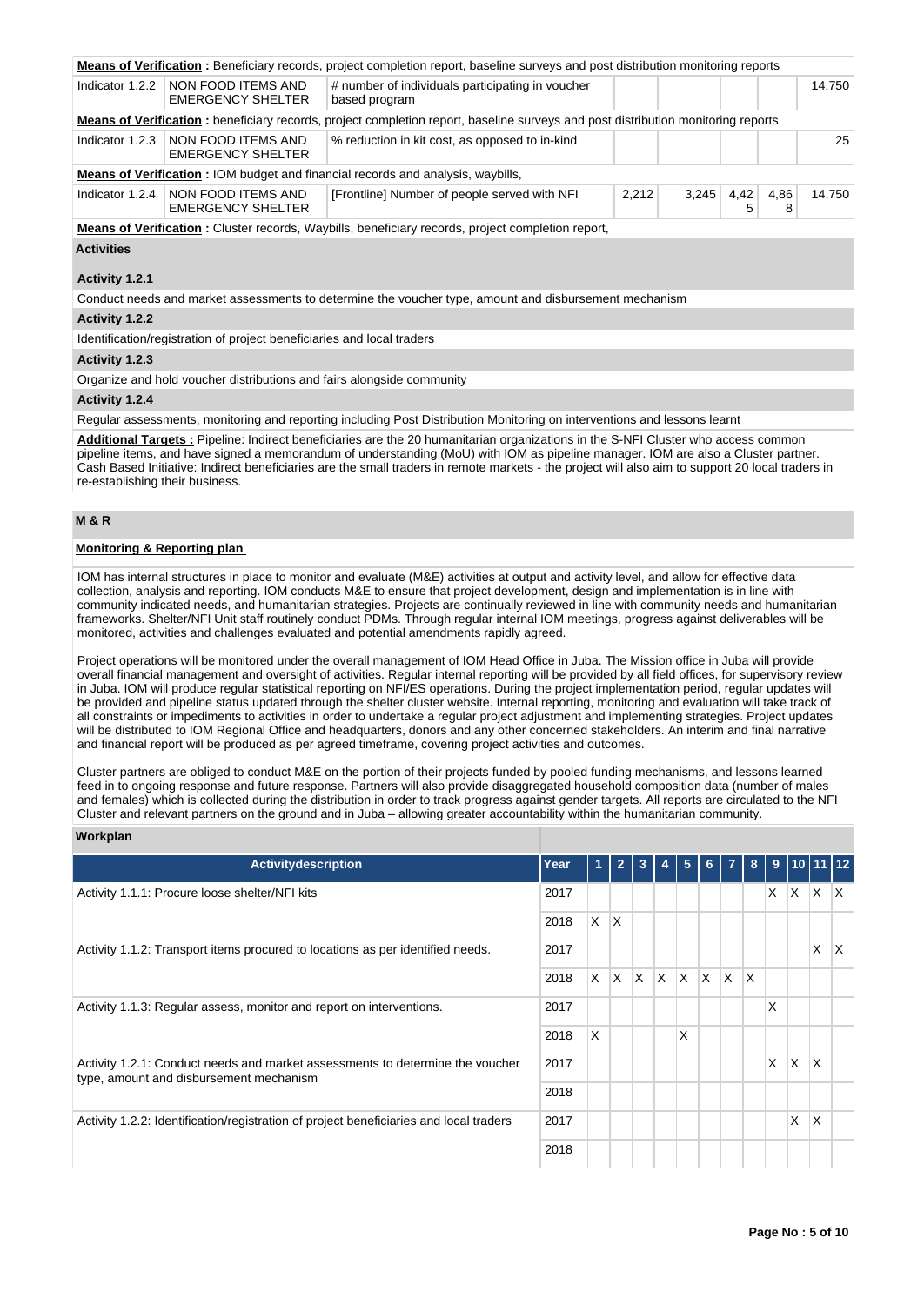|                                                                                                                                  |                                                                                                                               | <b>Means of Verification</b> : Beneficiary records, project completion report, baseline surveys and post distribution monitoring reports |       |       |           |           |        |  |
|----------------------------------------------------------------------------------------------------------------------------------|-------------------------------------------------------------------------------------------------------------------------------|------------------------------------------------------------------------------------------------------------------------------------------|-------|-------|-----------|-----------|--------|--|
| Indicator 1.2.2                                                                                                                  | NON FOOD ITEMS AND<br># number of individuals participating in voucher<br>14,750<br><b>EMERGENCY SHELTER</b><br>based program |                                                                                                                                          |       |       |           |           |        |  |
| Means of Verification: beneficiary records, project completion report, baseline surveys and post distribution monitoring reports |                                                                                                                               |                                                                                                                                          |       |       |           |           |        |  |
|                                                                                                                                  | Indicator 1.2.3   NON FOOD ITEMS AND<br><b>EMERGENCY SHELTER</b>                                                              | % reduction in kit cost, as opposed to in-kind                                                                                           |       |       |           |           | 25     |  |
|                                                                                                                                  |                                                                                                                               | Means of Verification: IOM budget and financial records and analysis, waybills,                                                          |       |       |           |           |        |  |
|                                                                                                                                  | Indicator 1.2.4   NON FOOD ITEMS AND<br><b>EMERGENCY SHELTER</b>                                                              | [Frontline] Number of people served with NFI                                                                                             | 2,212 | 3,245 | 4,42<br>5 | 4,86<br>8 | 14,750 |  |
|                                                                                                                                  | <b>Means of Verification:</b> Cluster records, Waybills, beneficiary records, project completion report,                      |                                                                                                                                          |       |       |           |           |        |  |
| <b>Activities</b>                                                                                                                |                                                                                                                               |                                                                                                                                          |       |       |           |           |        |  |
| Activity 1.2.1                                                                                                                   |                                                                                                                               |                                                                                                                                          |       |       |           |           |        |  |
|                                                                                                                                  |                                                                                                                               | Conduct needs and market assessments to determine the voucher type, amount and disbursement mechanism                                    |       |       |           |           |        |  |
| Activity 1.2.2                                                                                                                   |                                                                                                                               |                                                                                                                                          |       |       |           |           |        |  |
|                                                                                                                                  | Identification/registration of project beneficiaries and local traders                                                        |                                                                                                                                          |       |       |           |           |        |  |
| Activity 1.2.3                                                                                                                   |                                                                                                                               |                                                                                                                                          |       |       |           |           |        |  |
| Organize and hold voucher distributions and fairs alongside community                                                            |                                                                                                                               |                                                                                                                                          |       |       |           |           |        |  |
| Activity 1.2.4                                                                                                                   |                                                                                                                               |                                                                                                                                          |       |       |           |           |        |  |
|                                                                                                                                  |                                                                                                                               | Regular assessments, monitoring and reporting including Post Distribution Monitoring on interventions and lessons learnt                 |       |       |           |           |        |  |

**Additional Targets :** Pipeline: Indirect beneficiaries are the 20 humanitarian organizations in the S-NFI Cluster who access common pipeline items, and have signed a memorandum of understanding (MoU) with IOM as pipeline manager. IOM are also a Cluster partner. Cash Based Initiative: Indirect beneficiaries are the small traders in remote markets - the project will also aim to support 20 local traders in re-establishing their business.

### **M & R**

# **Monitoring & Reporting plan**

IOM has internal structures in place to monitor and evaluate (M&E) activities at output and activity level, and allow for effective data collection, analysis and reporting. IOM conducts M&E to ensure that project development, design and implementation is in line with community indicated needs, and humanitarian strategies. Projects are continually reviewed in line with community needs and humanitarian frameworks. Shelter/NFI Unit staff routinely conduct PDMs. Through regular internal IOM meetings, progress against deliverables will be monitored, activities and challenges evaluated and potential amendments rapidly agreed.

Project operations will be monitored under the overall management of IOM Head Office in Juba. The Mission office in Juba will provide overall financial management and oversight of activities. Regular internal reporting will be provided by all field offices, for supervisory review in Juba. IOM will produce regular statistical reporting on NFI/ES operations. During the project implementation period, regular updates will be provided and pipeline status updated through the shelter cluster website. Internal reporting, monitoring and evaluation will take track of all constraints or impediments to activities in order to undertake a regular project adjustment and implementing strategies. Project updates will be distributed to IOM Regional Office and headquarters, donors and any other concerned stakeholders. An interim and final narrative and financial report will be produced as per agreed timeframe, covering project activities and outcomes.

Cluster partners are obliged to conduct M&E on the portion of their projects funded by pooled funding mechanisms, and lessons learned feed in to ongoing response and future response. Partners will also provide disaggregated household composition data (number of males and females) which is collected during the distribution in order to track progress against gender targets. All reports are circulated to the NFI Cluster and relevant partners on the ground and in Juba – allowing greater accountability within the humanitarian community.

### **Workplan**

| <b>Activitydescription</b>                                                                                               | Year |          | $\overline{2}$ | 3   | 4            | 5        | 6   | $\overline{7}$ | 8                      |    |          | 9 10 11 12   |              |
|--------------------------------------------------------------------------------------------------------------------------|------|----------|----------------|-----|--------------|----------|-----|----------------|------------------------|----|----------|--------------|--------------|
|                                                                                                                          | 2017 |          |                |     |              |          |     |                |                        | X. | $X$ $X$  |              | $\mathsf{X}$ |
| Activity 1.1.1: Procure loose shelter/NFI kits                                                                           |      |          |                |     |              |          |     |                |                        |    |          |              |              |
|                                                                                                                          | 2018 | X.       | $\mathsf{X}$   |     |              |          |     |                |                        |    |          |              |              |
| Activity 1.1.2: Transport items procured to locations as per identified needs.                                           | 2017 |          |                |     |              |          |     |                |                        |    |          | X            | ΙX           |
|                                                                                                                          | 2018 | X.       | ΙX.            | ΙX. | $\mathsf{X}$ | <b>X</b> | ΙX. | $\mathsf{X}$   | $\mathsf{I}\mathsf{X}$ |    |          |              |              |
| Activity 1.1.3: Regular assess, monitor and report on interventions.                                                     | 2017 |          |                |     |              |          |     |                |                        | X  |          |              |              |
|                                                                                                                          | 2018 | $\times$ |                |     |              | х        |     |                |                        |    |          |              |              |
| Activity 1.2.1: Conduct needs and market assessments to determine the voucher<br>type, amount and disbursement mechanism | 2017 |          |                |     |              |          |     |                |                        | X  | <b>X</b> | <sup>X</sup> |              |
|                                                                                                                          | 2018 |          |                |     |              |          |     |                |                        |    |          |              |              |
| Activity 1.2.2: Identification/registration of project beneficiaries and local traders                                   | 2017 |          |                |     |              |          |     |                |                        |    | X        | X            |              |
|                                                                                                                          | 2018 |          |                |     |              |          |     |                |                        |    |          |              |              |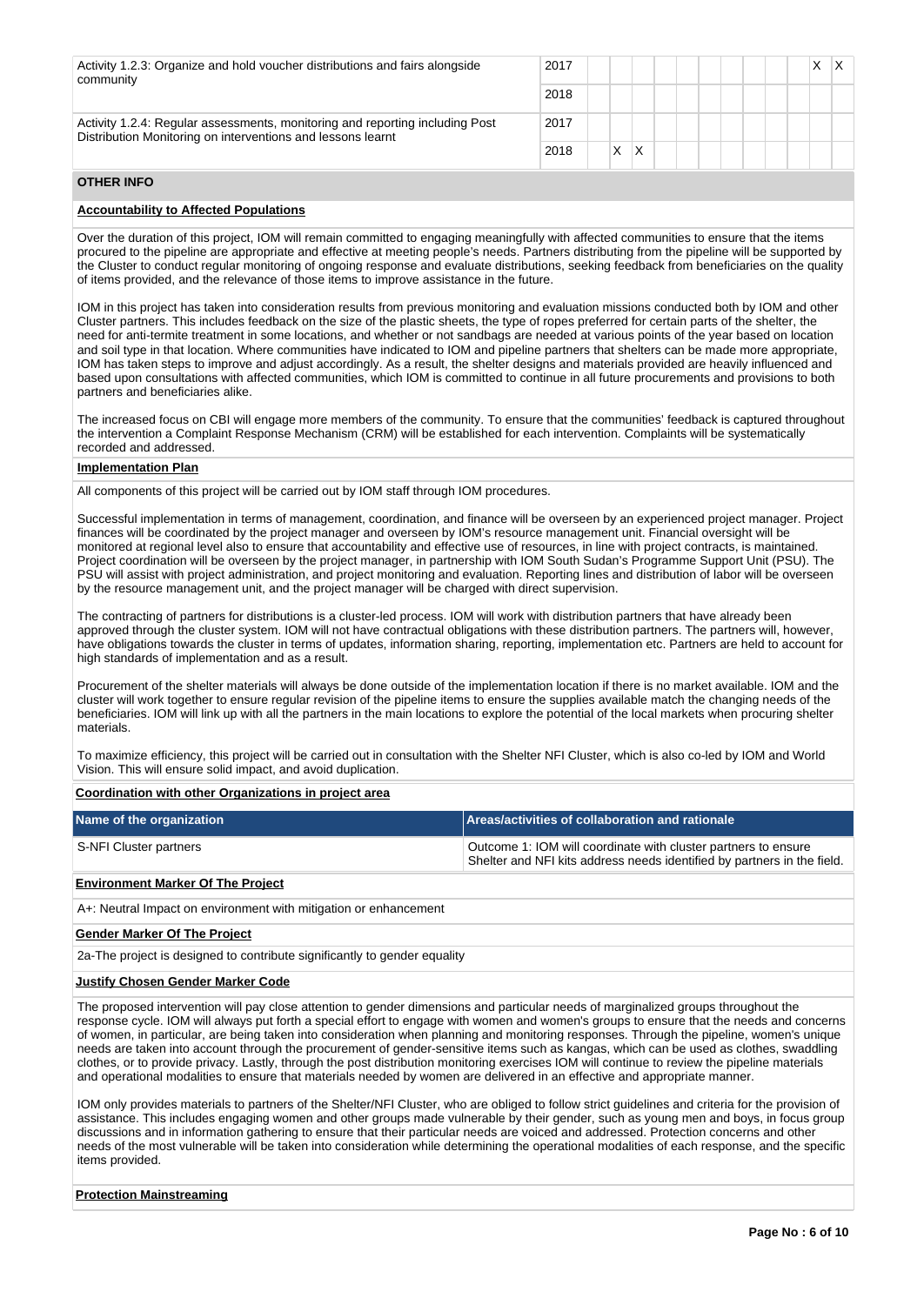| Activity 1.2.3: Organize and hold voucher distributions and fairs alongside<br>community                                                    | 2017 |   |  |  |  |  |  |
|---------------------------------------------------------------------------------------------------------------------------------------------|------|---|--|--|--|--|--|
|                                                                                                                                             | 2018 |   |  |  |  |  |  |
| Activity 1.2.4: Regular assessments, monitoring and reporting including Post<br>Distribution Monitoring on interventions and lessons learnt | 2017 |   |  |  |  |  |  |
|                                                                                                                                             | 2018 | x |  |  |  |  |  |

## **OTHER INFO**

### **Accountability to Affected Populations**

Over the duration of this project, IOM will remain committed to engaging meaningfully with affected communities to ensure that the items procured to the pipeline are appropriate and effective at meeting people's needs. Partners distributing from the pipeline will be supported by the Cluster to conduct regular monitoring of ongoing response and evaluate distributions, seeking feedback from beneficiaries on the quality of items provided, and the relevance of those items to improve assistance in the future.

IOM in this project has taken into consideration results from previous monitoring and evaluation missions conducted both by IOM and other Cluster partners. This includes feedback on the size of the plastic sheets, the type of ropes preferred for certain parts of the shelter, the need for anti-termite treatment in some locations, and whether or not sandbags are needed at various points of the year based on location and soil type in that location. Where communities have indicated to IOM and pipeline partners that shelters can be made more appropriate, IOM has taken steps to improve and adjust accordingly. As a result, the shelter designs and materials provided are heavily influenced and based upon consultations with affected communities, which IOM is committed to continue in all future procurements and provisions to both partners and beneficiaries alike.

The increased focus on CBI will engage more members of the community. To ensure that the communities' feedback is captured throughout the intervention a Complaint Response Mechanism (CRM) will be established for each intervention. Complaints will be systematically recorded and addressed.

#### **Implementation Plan**

All components of this project will be carried out by IOM staff through IOM procedures.

Successful implementation in terms of management, coordination, and finance will be overseen by an experienced project manager. Project finances will be coordinated by the project manager and overseen by IOM's resource management unit. Financial oversight will be monitored at regional level also to ensure that accountability and effective use of resources, in line with project contracts, is maintained. Project coordination will be overseen by the project manager, in partnership with IOM South Sudan's Programme Support Unit (PSU). The PSU will assist with project administration, and project monitoring and evaluation. Reporting lines and distribution of labor will be overseen by the resource management unit, and the project manager will be charged with direct supervision.

The contracting of partners for distributions is a cluster-led process. IOM will work with distribution partners that have already been approved through the cluster system. IOM will not have contractual obligations with these distribution partners. The partners will, however, have obligations towards the cluster in terms of updates, information sharing, reporting, implementation etc. Partners are held to account for high standards of implementation and as a result.

Procurement of the shelter materials will always be done outside of the implementation location if there is no market available. IOM and the cluster will work together to ensure regular revision of the pipeline items to ensure the supplies available match the changing needs of the beneficiaries. IOM will link up with all the partners in the main locations to explore the potential of the local markets when procuring shelter materials.

To maximize efficiency, this project will be carried out in consultation with the Shelter NFI Cluster, which is also co-led by IOM and World Vision. This will ensure solid impact, and avoid duplication.

#### **Coordination with other Organizations in project area**

| Name of the organization | Areas/activities of collaboration and rationale                                                                                           |
|--------------------------|-------------------------------------------------------------------------------------------------------------------------------------------|
| S-NFI Cluster partners   | Outcome 1: IOM will coordinate with cluster partners to ensure<br>Shelter and NFI kits address needs identified by partners in the field. |

### **Environment Marker Of The Project**

A+: Neutral Impact on environment with mitigation or enhancement

#### **Gender Marker Of The Project**

2a-The project is designed to contribute significantly to gender equality

#### **Justify Chosen Gender Marker Code**

The proposed intervention will pay close attention to gender dimensions and particular needs of marginalized groups throughout the response cycle. IOM will always put forth a special effort to engage with women and women's groups to ensure that the needs and concerns of women, in particular, are being taken into consideration when planning and monitoring responses. Through the pipeline, women's unique needs are taken into account through the procurement of gender-sensitive items such as kangas, which can be used as clothes, swaddling clothes, or to provide privacy. Lastly, through the post distribution monitoring exercises IOM will continue to review the pipeline materials and operational modalities to ensure that materials needed by women are delivered in an effective and appropriate manner.

IOM only provides materials to partners of the Shelter/NFI Cluster, who are obliged to follow strict guidelines and criteria for the provision of assistance. This includes engaging women and other groups made vulnerable by their gender, such as young men and boys, in focus group discussions and in information gathering to ensure that their particular needs are voiced and addressed. Protection concerns and other needs of the most vulnerable will be taken into consideration while determining the operational modalities of each response, and the specific items provided.

#### **Protection Mainstreaming**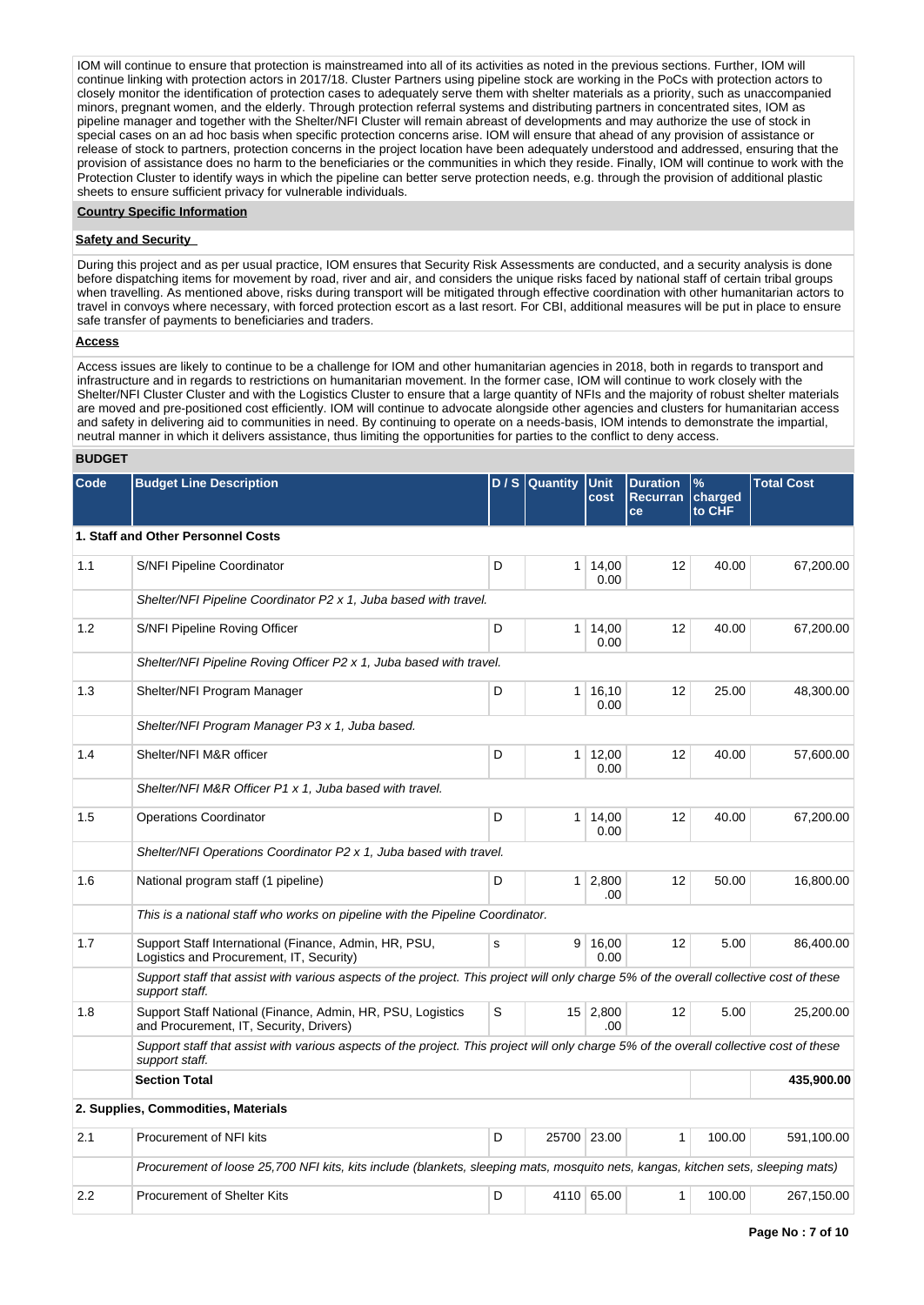IOM will continue to ensure that protection is mainstreamed into all of its activities as noted in the previous sections. Further, IOM will continue linking with protection actors in 2017/18. Cluster Partners using pipeline stock are working in the PoCs with protection actors to closely monitor the identification of protection cases to adequately serve them with shelter materials as a priority, such as unaccompanied minors, pregnant women, and the elderly. Through protection referral systems and distributing partners in concentrated sites, IOM as pipeline manager and together with the Shelter/NFI Cluster will remain abreast of developments and may authorize the use of stock in special cases on an ad hoc basis when specific protection concerns arise. IOM will ensure that ahead of any provision of assistance or release of stock to partners, protection concerns in the project location have been adequately understood and addressed, ensuring that the provision of assistance does no harm to the beneficiaries or the communities in which they reside. Finally, IOM will continue to work with the Protection Cluster to identify ways in which the pipeline can better serve protection needs, e.g. through the provision of additional plastic sheets to ensure sufficient privacy for vulnerable individuals.

#### **Country Specific Information**

#### **Safety and Security**

During this project and as per usual practice, IOM ensures that Security Risk Assessments are conducted, and a security analysis is done before dispatching items for movement by road, river and air, and considers the unique risks faced by national staff of certain tribal groups when travelling. As mentioned above, risks during transport will be mitigated through effective coordination with other humanitarian actors to travel in convoys where necessary, with forced protection escort as a last resort. For CBI, additional measures will be put in place to ensure safe transfer of payments to beneficiaries and traders.

## **Access**

Access issues are likely to continue to be a challenge for IOM and other humanitarian agencies in 2018, both in regards to transport and infrastructure and in regards to restrictions on humanitarian movement. In the former case, IOM will continue to work closely with the Shelter/NFI Cluster Cluster and with the Logistics Cluster to ensure that a large quantity of NFIs and the majority of robust shelter materials are moved and pre-positioned cost efficiently. IOM will continue to advocate alongside other agencies and clusters for humanitarian access and safety in delivering aid to communities in need. By continuing to operate on a needs-basis, IOM intends to demonstrate the impartial, neutral manner in which it delivers assistance, thus limiting the opportunities for parties to the conflict to deny access.

### **BUDGET**

| Code | <b>Budget Line Description</b>                                                                                                                            |   | D / S Quantity | <b>Unit</b><br>cost    | <b>Duration</b><br><b>Recurran</b><br>ce | $\%$<br>charged<br>to CHF | <b>Total Cost</b> |  |  |  |  |
|------|-----------------------------------------------------------------------------------------------------------------------------------------------------------|---|----------------|------------------------|------------------------------------------|---------------------------|-------------------|--|--|--|--|
|      | 1. Staff and Other Personnel Costs                                                                                                                        |   |                |                        |                                          |                           |                   |  |  |  |  |
| 1.1  | <b>S/NFI Pipeline Coordinator</b>                                                                                                                         | D | 1 <sup>1</sup> | 14,00<br>0.00          | 12                                       | 40.00                     | 67.200.00         |  |  |  |  |
|      | Shelter/NFI Pipeline Coordinator P2 x 1, Juba based with travel.                                                                                          |   |                |                        |                                          |                           |                   |  |  |  |  |
| 1.2  | S/NFI Pipeline Roving Officer                                                                                                                             | D | 1 <sup>1</sup> | 14,00<br>0.00          | 12                                       | 40.00                     | 67,200.00         |  |  |  |  |
|      | Shelter/NFI Pipeline Roving Officer P2 x 1, Juba based with travel.                                                                                       |   |                |                        |                                          |                           |                   |  |  |  |  |
| 1.3  | Shelter/NFI Program Manager                                                                                                                               | D | 1 <sup>1</sup> | 16,10<br>0.00          | 12                                       | 25.00                     | 48,300.00         |  |  |  |  |
|      | Shelter/NFI Program Manager P3 x 1, Juba based.                                                                                                           |   |                |                        |                                          |                           |                   |  |  |  |  |
| 1.4  | Shelter/NFI M&R officer                                                                                                                                   | D | 1 <sup>1</sup> | 12,00<br>0.00          | 12                                       | 40.00                     | 57,600.00         |  |  |  |  |
|      | Shelter/NFI M&R Officer P1 x 1, Juba based with travel.                                                                                                   |   |                |                        |                                          |                           |                   |  |  |  |  |
| 1.5  | <b>Operations Coordinator</b>                                                                                                                             |   | 1 <sup>1</sup> | 14,00<br>0.00          | 12                                       | 40.00                     | 67,200.00         |  |  |  |  |
|      | Shelter/NFI Operations Coordinator P2 x 1, Juba based with travel.                                                                                        |   |                |                        |                                          |                           |                   |  |  |  |  |
| 1.6  | National program staff (1 pipeline)                                                                                                                       | D |                | $1 \mid 2,800$<br>.00  | 12                                       | 50.00                     | 16,800.00         |  |  |  |  |
|      | This is a national staff who works on pipeline with the Pipeline Coordinator.                                                                             |   |                |                        |                                          |                           |                   |  |  |  |  |
| 1.7  | Support Staff International (Finance, Admin, HR, PSU,<br>Logistics and Procurement, IT, Security)                                                         |   | 9              | 16,00<br>0.00          | 12                                       | 5.00                      | 86,400.00         |  |  |  |  |
|      | Support staff that assist with various aspects of the project. This project will only charge 5% of the overall collective cost of these<br>support staff. |   |                |                        |                                          |                           |                   |  |  |  |  |
| 1.8  | Support Staff National (Finance, Admin, HR, PSU, Logistics<br>and Procurement, IT, Security, Drivers)                                                     | S |                | $15 \mid 2,800$<br>.00 | 12                                       | 5.00                      | 25,200.00         |  |  |  |  |
|      | Support staff that assist with various aspects of the project. This project will only charge 5% of the overall collective cost of these<br>support staff. |   |                |                        |                                          |                           |                   |  |  |  |  |
|      | <b>Section Total</b>                                                                                                                                      |   |                |                        |                                          |                           | 435,900.00        |  |  |  |  |
|      | 2. Supplies, Commodities, Materials                                                                                                                       |   |                |                        |                                          |                           |                   |  |  |  |  |
| 2.1  | Procurement of NFI kits                                                                                                                                   | D | 25700 23.00    |                        | $\mathbf{1}$                             | 100.00                    | 591,100.00        |  |  |  |  |
|      | Procurement of loose 25,700 NFI kits, kits include (blankets, sleeping mats, mosquito nets, kangas, kitchen sets, sleeping mats)                          |   |                |                        |                                          |                           |                   |  |  |  |  |
| 2.2  | Procurement of Shelter Kits                                                                                                                               | D |                | 4110 65.00             | 1                                        | 100.00                    | 267,150.00        |  |  |  |  |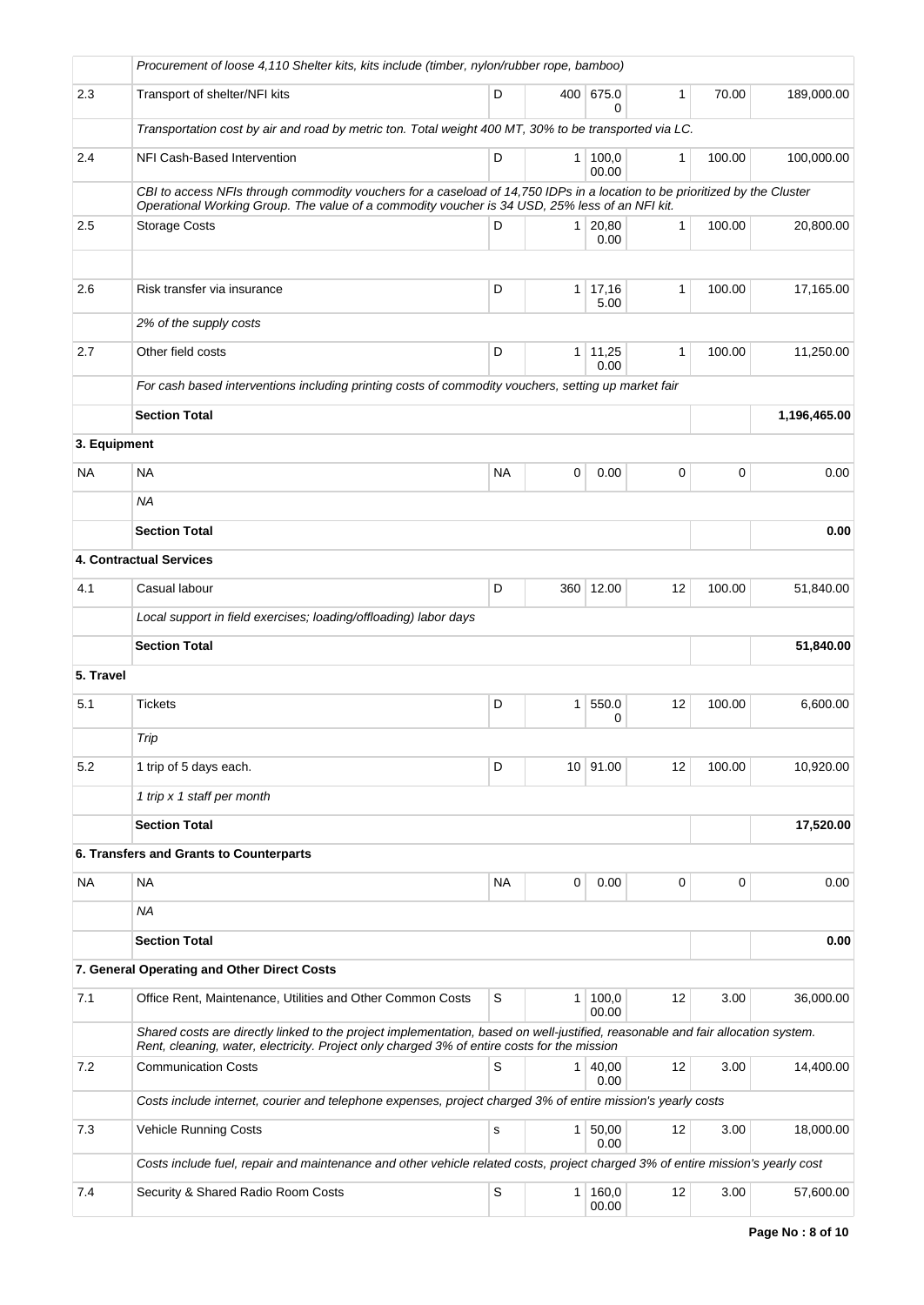|              | Procurement of loose 4,110 Shelter kits, kits include (timber, nylon/rubber rope, bamboo)                                                                                                                                      |           |                |                        |              |        |              |  |  |
|--------------|--------------------------------------------------------------------------------------------------------------------------------------------------------------------------------------------------------------------------------|-----------|----------------|------------------------|--------------|--------|--------------|--|--|
| 2.3          | Transport of shelter/NFI kits                                                                                                                                                                                                  | D         |                | 400 675.0<br>0         | $\mathbf{1}$ | 70.00  | 189,000.00   |  |  |
|              | Transportation cost by air and road by metric ton. Total weight 400 MT, 30% to be transported via LC.                                                                                                                          |           |                |                        |              |        |              |  |  |
| 2.4          | NFI Cash-Based Intervention                                                                                                                                                                                                    | D         | $\mathbf{1}$   | 100,0<br>00.00         | $\mathbf{1}$ | 100.00 | 100,000.00   |  |  |
|              | CBI to access NFIs through commodity vouchers for a caseload of 14,750 IDPs in a location to be prioritized by the Cluster<br>Operational Working Group. The value of a commodity voucher is 34 USD, 25% less of an NFI kit.   |           |                |                        |              |        |              |  |  |
| 2.5          | <b>Storage Costs</b>                                                                                                                                                                                                           | D         |                | $1 \mid 20,80$<br>0.00 | $\mathbf{1}$ | 100.00 | 20,800.00    |  |  |
|              |                                                                                                                                                                                                                                |           |                |                        |              |        |              |  |  |
| 2.6          | Risk transfer via insurance                                                                                                                                                                                                    | D         | 1 <sup>1</sup> | 17,16<br>5.00          | 1            | 100.00 | 17,165.00    |  |  |
|              | 2% of the supply costs                                                                                                                                                                                                         |           |                |                        |              |        |              |  |  |
| 2.7          | Other field costs                                                                                                                                                                                                              | D         | 1              | 11,25<br>0.00          | 1            | 100.00 | 11,250.00    |  |  |
|              | For cash based interventions including printing costs of commodity vouchers, setting up market fair                                                                                                                            |           |                |                        |              |        |              |  |  |
|              | <b>Section Total</b>                                                                                                                                                                                                           |           |                |                        |              |        | 1,196,465.00 |  |  |
| 3. Equipment |                                                                                                                                                                                                                                |           |                |                        |              |        |              |  |  |
| NA           | <b>NA</b>                                                                                                                                                                                                                      | <b>NA</b> | 0              | 0.00                   | 0            | 0      | 0.00         |  |  |
|              | NA.                                                                                                                                                                                                                            |           |                |                        |              |        |              |  |  |
|              | <b>Section Total</b>                                                                                                                                                                                                           |           |                |                        |              |        | 0.00         |  |  |
|              | 4. Contractual Services                                                                                                                                                                                                        |           |                |                        |              |        |              |  |  |
| 4.1          | Casual labour                                                                                                                                                                                                                  | D         |                | 360 12.00              | 12           | 100.00 | 51,840.00    |  |  |
|              | Local support in field exercises; loading/offloading) labor days                                                                                                                                                               |           |                |                        |              |        |              |  |  |
|              | <b>Section Total</b>                                                                                                                                                                                                           |           |                |                        |              |        | 51,840.00    |  |  |
| 5. Travel    |                                                                                                                                                                                                                                |           |                |                        |              |        |              |  |  |
| 5.1          | <b>Tickets</b>                                                                                                                                                                                                                 | D         | $\mathbf{1}$   | 550.0<br>0             | 12           | 100.00 | 6,600.00     |  |  |
|              | Trip                                                                                                                                                                                                                           |           |                |                        |              |        |              |  |  |
| 5.2          | 1 trip of 5 days each.                                                                                                                                                                                                         | D         |                | 10 91.00               | 12           | 100.00 | 10,920.00    |  |  |
|              | 1 trip x 1 staff per month                                                                                                                                                                                                     |           |                |                        |              |        |              |  |  |
|              | <b>Section Total</b>                                                                                                                                                                                                           |           |                |                        |              |        | 17,520.00    |  |  |
|              | 6. Transfers and Grants to Counterparts                                                                                                                                                                                        |           |                |                        |              |        |              |  |  |
| NA           | NA                                                                                                                                                                                                                             | NA        | 0              | 0.00                   | 0            | 0      | 0.00         |  |  |
|              | <b>NA</b>                                                                                                                                                                                                                      |           |                |                        |              |        |              |  |  |
|              | <b>Section Total</b>                                                                                                                                                                                                           |           |                |                        |              |        | 0.00         |  |  |
|              | 7. General Operating and Other Direct Costs                                                                                                                                                                                    |           |                |                        |              |        |              |  |  |
| 7.1          | Office Rent, Maintenance, Utilities and Other Common Costs                                                                                                                                                                     | S         | 1              | 100,0<br>00.00         | 12           | 3.00   | 36,000.00    |  |  |
|              | Shared costs are directly linked to the project implementation, based on well-justified, reasonable and fair allocation system.<br>Rent, cleaning, water, electricity. Project only charged 3% of entire costs for the mission |           |                |                        |              |        |              |  |  |
| 7.2          | <b>Communication Costs</b>                                                                                                                                                                                                     | S         | 1              | 40,00                  | 12           | 3.00   | 14,400.00    |  |  |
|              |                                                                                                                                                                                                                                |           |                | 0.00                   |              |        |              |  |  |
|              | Costs include internet, courier and telephone expenses, project charged 3% of entire mission's yearly costs                                                                                                                    |           |                |                        |              |        |              |  |  |
| 7.3          | <b>Vehicle Running Costs</b>                                                                                                                                                                                                   | ${\tt s}$ | $\mathbf{1}$   | 50,00<br>0.00          | 12           | 3.00   | 18,000.00    |  |  |
|              | Costs include fuel, repair and maintenance and other vehicle related costs, project charged 3% of entire mission's yearly cost                                                                                                 |           |                |                        |              |        |              |  |  |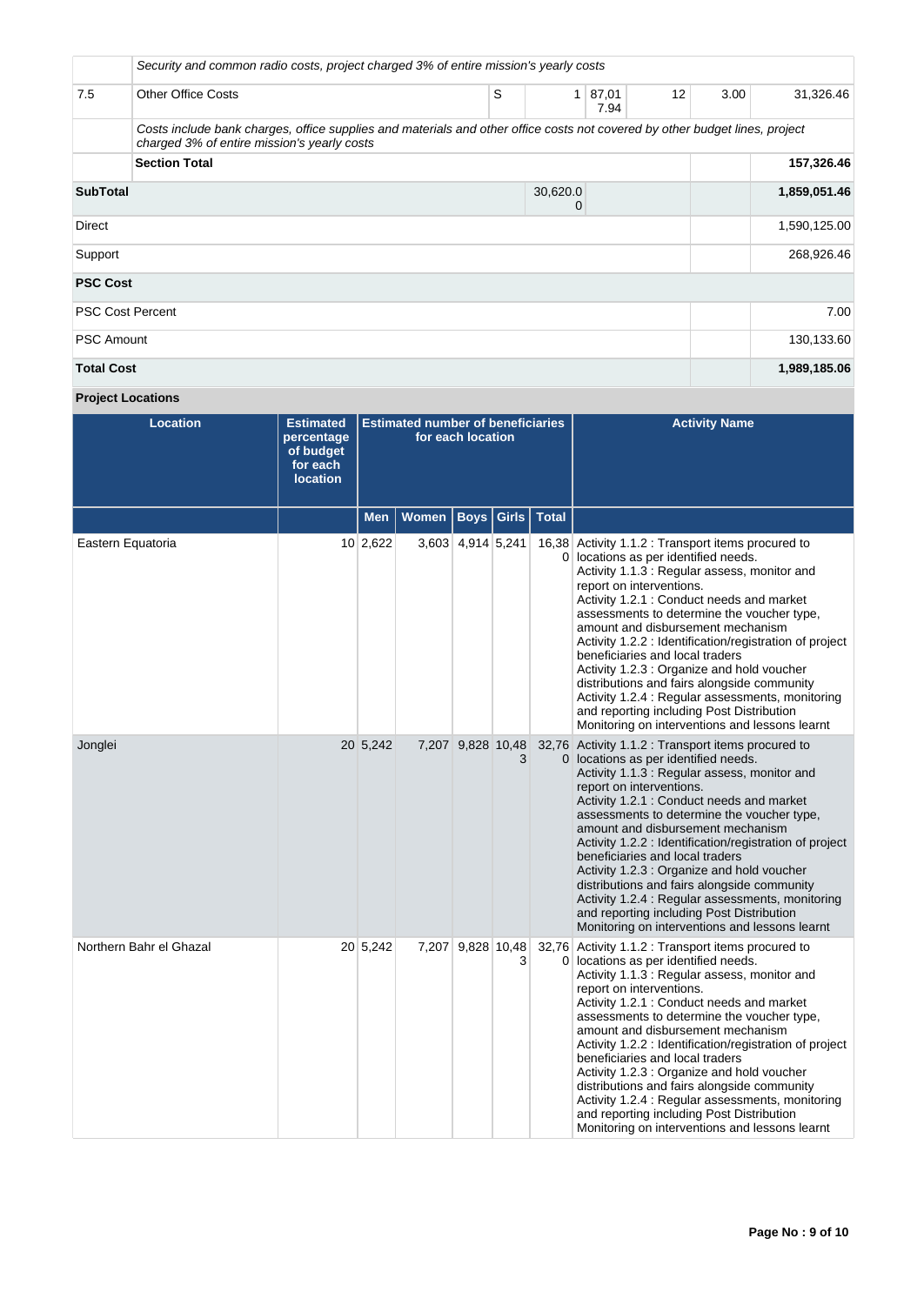|                                  | Security and common radio costs, project charged 3% of entire mission's yearly costs                                                                                       |  |            |            |               |    |      |              |  |  |
|----------------------------------|----------------------------------------------------------------------------------------------------------------------------------------------------------------------------|--|------------|------------|---------------|----|------|--------------|--|--|
| 7.5                              | <b>Other Office Costs</b>                                                                                                                                                  |  | S          | 1          | 87,01<br>7.94 | 12 | 3.00 | 31,326.46    |  |  |
|                                  | Costs include bank charges, office supplies and materials and other office costs not covered by other budget lines, project<br>charged 3% of entire mission's yearly costs |  |            |            |               |    |      |              |  |  |
|                                  | <b>Section Total</b>                                                                                                                                                       |  |            | 157,326.46 |               |    |      |              |  |  |
| <b>SubTotal</b><br>30,620.0<br>0 |                                                                                                                                                                            |  |            |            |               |    |      | 1,859,051.46 |  |  |
| Direct                           |                                                                                                                                                                            |  |            |            |               |    |      | 1,590,125.00 |  |  |
| Support                          |                                                                                                                                                                            |  | 268,926.46 |            |               |    |      |              |  |  |
| <b>PSC Cost</b>                  |                                                                                                                                                                            |  |            |            |               |    |      |              |  |  |
| <b>PSC Cost Percent</b>          |                                                                                                                                                                            |  |            |            |               |    |      | 7.00         |  |  |
| <b>PSC Amount</b>                |                                                                                                                                                                            |  |            |            |               |    |      | 130,133.60   |  |  |
| <b>Total Cost</b>                |                                                                                                                                                                            |  |            |            |               |    |      | 1,989,185.06 |  |  |

# **Project Locations**

| <b>Location</b>         | <b>Estimated</b><br>percentage<br>of budget<br>for each<br><b>location</b> | <b>Estimated number of beneficiaries</b><br>for each location |                      |                   |   |                         | <b>Activity Name</b>                                                                                                                                                                                                                                                                                                                                                                                                                                                                                                                                                                                                                                 |
|-------------------------|----------------------------------------------------------------------------|---------------------------------------------------------------|----------------------|-------------------|---|-------------------------|------------------------------------------------------------------------------------------------------------------------------------------------------------------------------------------------------------------------------------------------------------------------------------------------------------------------------------------------------------------------------------------------------------------------------------------------------------------------------------------------------------------------------------------------------------------------------------------------------------------------------------------------------|
|                         |                                                                            | <b>Men</b>                                                    | Women   Boys   Girls |                   |   | <b>Total</b>            |                                                                                                                                                                                                                                                                                                                                                                                                                                                                                                                                                                                                                                                      |
| Eastern Equatoria       |                                                                            | 10 2,622                                                      |                      | 3,603 4,914 5,241 |   | $\overline{0}$          | 16,38 Activity 1.1.2 : Transport items procured to<br>locations as per identified needs.<br>Activity 1.1.3 : Regular assess, monitor and<br>report on interventions.<br>Activity 1.2.1 : Conduct needs and market<br>assessments to determine the voucher type,<br>amount and disbursement mechanism<br>Activity 1.2.2 : Identification/registration of project<br>beneficiaries and local traders<br>Activity 1.2.3 : Organize and hold voucher<br>distributions and fairs alongside community<br>Activity 1.2.4 : Regular assessments, monitoring<br>and reporting including Post Distribution<br>Monitoring on interventions and lessons learnt   |
| Jonglei                 |                                                                            | 20 5,242                                                      |                      | 7,207 9,828 10,48 | 3 |                         | 32,76 Activity 1.1.2 : Transport items procured to<br>0 locations as per identified needs.<br>Activity 1.1.3 : Regular assess, monitor and<br>report on interventions.<br>Activity 1.2.1 : Conduct needs and market<br>assessments to determine the voucher type,<br>amount and disbursement mechanism<br>Activity 1.2.2 : Identification/registration of project<br>beneficiaries and local traders<br>Activity 1.2.3 : Organize and hold voucher<br>distributions and fairs alongside community<br>Activity 1.2.4 : Regular assessments, monitoring<br>and reporting including Post Distribution<br>Monitoring on interventions and lessons learnt |
| Northern Bahr el Ghazal |                                                                            | 20 5,242                                                      |                      | 7,207 9,828 10,48 | 3 | 32,76<br>$\overline{0}$ | Activity 1.1.2 : Transport items procured to<br>locations as per identified needs.<br>Activity 1.1.3 : Regular assess, monitor and<br>report on interventions.<br>Activity 1.2.1 : Conduct needs and market<br>assessments to determine the voucher type,<br>amount and disbursement mechanism<br>Activity 1.2.2 : Identification/registration of project<br>beneficiaries and local traders<br>Activity 1.2.3 : Organize and hold voucher<br>distributions and fairs alongside community<br>Activity 1.2.4 : Regular assessments, monitoring<br>and reporting including Post Distribution<br>Monitoring on interventions and lessons learnt         |